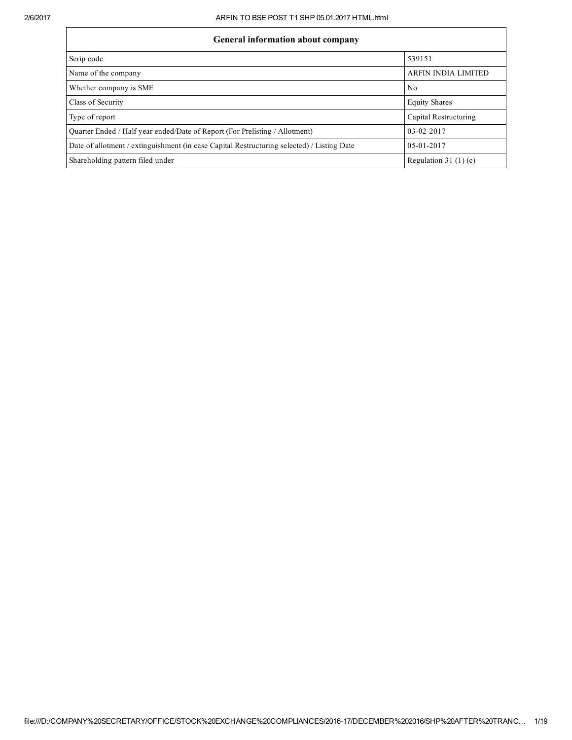| <b>General information about company</b>                                                   |                            |  |  |  |  |  |  |  |
|--------------------------------------------------------------------------------------------|----------------------------|--|--|--|--|--|--|--|
| Scrip code                                                                                 | 539151                     |  |  |  |  |  |  |  |
| Name of the company                                                                        | <b>ARFIN INDIA LIMITED</b> |  |  |  |  |  |  |  |
| Whether company is SME                                                                     | No                         |  |  |  |  |  |  |  |
| Class of Security                                                                          | <b>Equity Shares</b>       |  |  |  |  |  |  |  |
| Type of report                                                                             | Capital Restructuring      |  |  |  |  |  |  |  |
| Ouarter Ended / Half year ended/Date of Report (For Prelisting / Allotment)                | 03-02-2017                 |  |  |  |  |  |  |  |
| Date of allotment / extinguishment (in case Capital Restructuring selected) / Listing Date | $0.5 - 0.1 - 20.17$        |  |  |  |  |  |  |  |
| Shareholding pattern filed under                                                           | Regulation 31 $(1)(c)$     |  |  |  |  |  |  |  |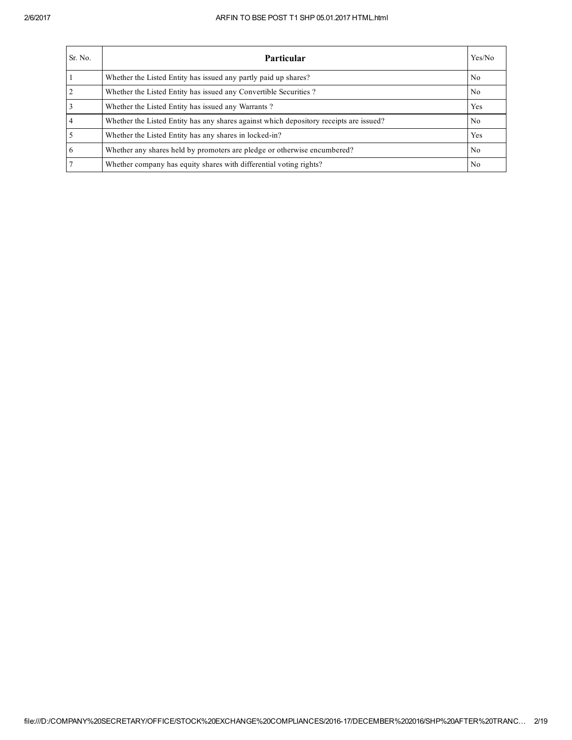| Sr. No.        | <b>Particular</b>                                                                      | Yes/No         |
|----------------|----------------------------------------------------------------------------------------|----------------|
|                | Whether the Listed Entity has issued any partly paid up shares?                        | N <sub>0</sub> |
| 2              | Whether the Listed Entity has issued any Convertible Securities?                       | N <sub>0</sub> |
| 3              | Whether the Listed Entity has issued any Warrants?                                     | Yes            |
| $\overline{4}$ | Whether the Listed Entity has any shares against which depository receipts are issued? | N <sub>0</sub> |
|                | Whether the Listed Entity has any shares in locked-in?                                 | Yes            |
| 6              | Whether any shares held by promoters are pledge or otherwise encumbered?               | N <sub>0</sub> |
|                | Whether company has equity shares with differential voting rights?                     | N <sub>0</sub> |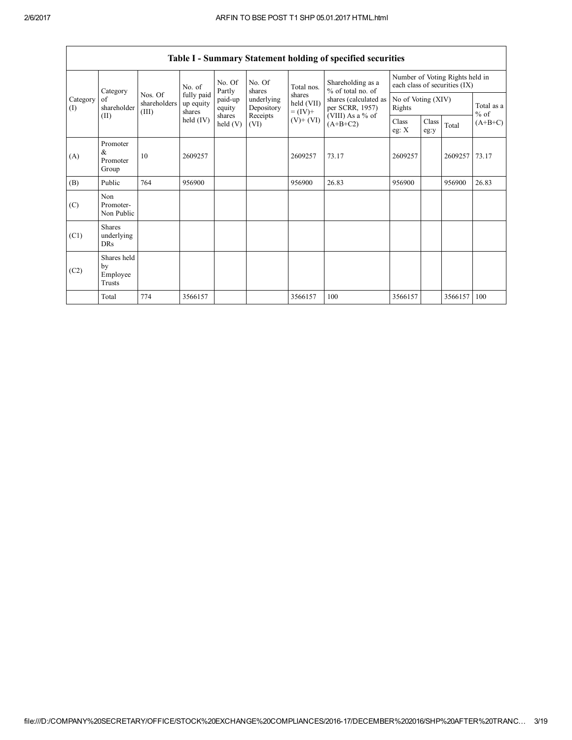| Category<br>of<br>Category<br>(I)<br>(II) |                                         |                                  | No. of                            | No. Of<br>Partly  | No. Of<br>shares         | Total nos.                         | Shareholding as a<br>% of total no. of   |                              |               | Number of Voting Rights held in<br>each class of securities (IX) |                      |
|-------------------------------------------|-----------------------------------------|----------------------------------|-----------------------------------|-------------------|--------------------------|------------------------------------|------------------------------------------|------------------------------|---------------|------------------------------------------------------------------|----------------------|
|                                           | shareholder                             | Nos. Of<br>shareholders<br>(III) | fully paid<br>up equity<br>shares | paid-up<br>equity | underlying<br>Depository | shares<br>held (VII)<br>$= (IV) +$ | shares (calculated as<br>per SCRR, 1957) | No of Voting (XIV)<br>Rights |               |                                                                  | Total as a<br>$%$ of |
|                                           |                                         |                                  | held $(IV)$                       | shares<br>held(V) | Receipts<br>(VI)         | $(V)$ + $(VI)$                     | (VIII) As a % of<br>$(A+B+C2)$           | Class<br>eg: $X$             | Class<br>eg:y | Total                                                            | $(A+B+C)$            |
| (A)                                       | Promoter<br>&<br>Promoter<br>Group      | 10                               | 2609257                           |                   |                          | 2609257                            | 73.17                                    | 2609257                      |               | 2609257                                                          | 73.17                |
| (B)                                       | Public                                  | 764                              | 956900                            |                   |                          | 956900                             | 26.83                                    | 956900                       |               | 956900                                                           | 26.83                |
| (C)                                       | Non<br>Promoter-<br>Non Public          |                                  |                                   |                   |                          |                                    |                                          |                              |               |                                                                  |                      |
| (C1)                                      | <b>Shares</b><br>underlying<br>DRs      |                                  |                                   |                   |                          |                                    |                                          |                              |               |                                                                  |                      |
| (C2)                                      | Shares held<br>by<br>Employee<br>Trusts |                                  |                                   |                   |                          |                                    |                                          |                              |               |                                                                  |                      |
|                                           | Total                                   | 774                              | 3566157                           |                   |                          | 3566157                            | 100                                      | 3566157                      |               | 3566157                                                          | 100                  |

Table I - Summary Statement holding of specified securities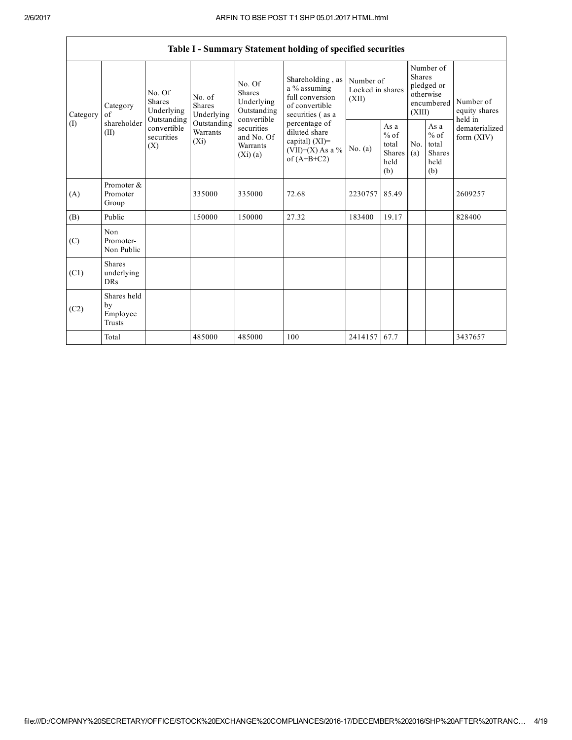$\mathsf{r}$ 

|                 | Table I - Summary Statement holding of specified securities |                                                                                   |                                                                             |                                                                                                                 |                                                                                                                                                                                         |                                        |                                                                               |            |                                                  |                                |  |  |  |
|-----------------|-------------------------------------------------------------|-----------------------------------------------------------------------------------|-----------------------------------------------------------------------------|-----------------------------------------------------------------------------------------------------------------|-----------------------------------------------------------------------------------------------------------------------------------------------------------------------------------------|----------------------------------------|-------------------------------------------------------------------------------|------------|--------------------------------------------------|--------------------------------|--|--|--|
| Category<br>(I) | Category<br>of<br>shareholder<br>(II)                       | No. Of<br>Shares<br>Underlying<br>Outstanding<br>convertible<br>securities<br>(X) | No. of<br><b>Shares</b><br>Underlying<br>Outstanding<br>Warrants<br>$(X_i)$ | No. Of<br>Shares<br>Underlying<br>Outstanding<br>convertible<br>securities<br>and No. Of<br>Warrants<br>(Xi)(a) | Shareholding, as<br>a % assuming<br>full conversion<br>of convertible<br>securities (as a<br>percentage of<br>diluted share<br>capital) $(XI)$ =<br>$(VII)+(X)$ As a %<br>of $(A+B+C2)$ | Number of<br>Locked in shares<br>(XII) | Number of<br><b>Shares</b><br>pledged or<br>otherwise<br>encumbered<br>(XIII) |            | Number of<br>equity shares<br>held in            |                                |  |  |  |
|                 |                                                             |                                                                                   |                                                                             |                                                                                                                 |                                                                                                                                                                                         | No. $(a)$                              | As a<br>$%$ of<br>total<br><b>Shares</b><br>held<br>(b)                       | No.<br>(a) | As a<br>$%$ of<br>total<br>Shares<br>held<br>(b) | dematerialized<br>form $(XIV)$ |  |  |  |
| (A)             | Promoter &<br>Promoter<br>Group                             |                                                                                   | 335000                                                                      | 335000                                                                                                          | 72.68                                                                                                                                                                                   | 2230757                                | 85.49                                                                         |            |                                                  | 2609257                        |  |  |  |
| (B)             | Public                                                      |                                                                                   | 150000                                                                      | 150000                                                                                                          | 27.32                                                                                                                                                                                   | 183400                                 | 19.17                                                                         |            |                                                  | 828400                         |  |  |  |
| (C)             | Non<br>Promoter-<br>Non Public                              |                                                                                   |                                                                             |                                                                                                                 |                                                                                                                                                                                         |                                        |                                                                               |            |                                                  |                                |  |  |  |
| (C1)            | <b>Shares</b><br>underlying<br><b>DRs</b>                   |                                                                                   |                                                                             |                                                                                                                 |                                                                                                                                                                                         |                                        |                                                                               |            |                                                  |                                |  |  |  |
| (C2)            | Shares held<br>by<br>Employee<br>Trusts                     |                                                                                   |                                                                             |                                                                                                                 |                                                                                                                                                                                         |                                        |                                                                               |            |                                                  |                                |  |  |  |
|                 | Total                                                       |                                                                                   | 485000                                                                      | 485000                                                                                                          | 100                                                                                                                                                                                     | 2414157 67.7                           |                                                                               |            |                                                  | 3437657                        |  |  |  |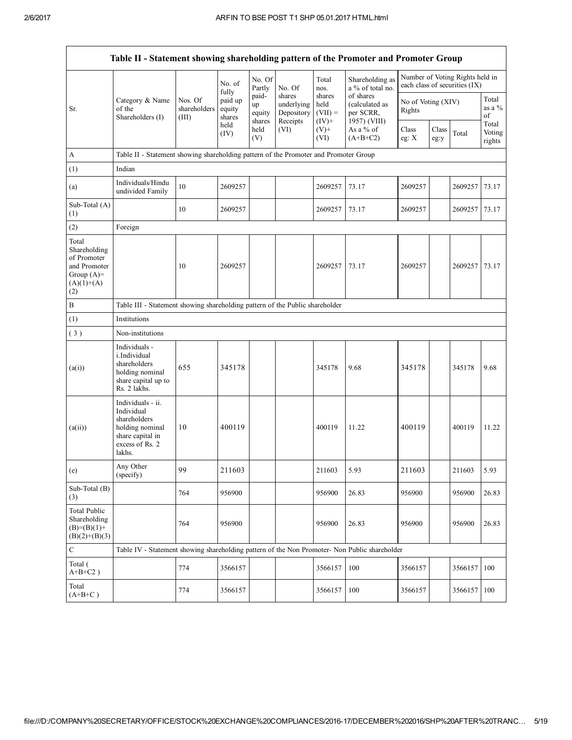| Table II - Statement showing shareholding pattern of the Promoter and Promoter Group        |                                                                                                                     |                                  |                                      |                                 |                                                |                                         |                                                          |                              |               |                                                                  |                           |  |
|---------------------------------------------------------------------------------------------|---------------------------------------------------------------------------------------------------------------------|----------------------------------|--------------------------------------|---------------------------------|------------------------------------------------|-----------------------------------------|----------------------------------------------------------|------------------------------|---------------|------------------------------------------------------------------|---------------------------|--|
|                                                                                             |                                                                                                                     |                                  | No. of                               | No. Of<br>Partly                | No. Of                                         | Total<br>nos.                           | Shareholding as<br>a % of total no.                      |                              |               | Number of Voting Rights held in<br>each class of securities (IX) |                           |  |
| Sr.                                                                                         | Category & Name<br>of the<br>Shareholders (I)                                                                       | Nos. Of<br>shareholders<br>(III) | fully<br>paid up<br>equity<br>shares | paid-<br>up<br>equity<br>shares | shares<br>underlying<br>Depository<br>Receipts | shares<br>held<br>$(VII) =$<br>$(IV)$ + | of shares<br>(calculated as<br>per SCRR,<br>1957) (VIII) | No of Voting (XIV)<br>Rights |               |                                                                  | Total<br>as a $%$<br>of   |  |
|                                                                                             |                                                                                                                     |                                  | held<br>(IV)                         | held<br>(V)                     | (VI)                                           | $(V)$ +<br>(VI)                         | As a % of<br>$(A+B+C2)$                                  | Class<br>eg: $X$             | Class<br>eg:y | Total                                                            | Total<br>Voting<br>rights |  |
| A                                                                                           | Table II - Statement showing shareholding pattern of the Promoter and Promoter Group                                |                                  |                                      |                                 |                                                |                                         |                                                          |                              |               |                                                                  |                           |  |
| (1)                                                                                         | Indian                                                                                                              |                                  |                                      |                                 |                                                |                                         |                                                          |                              |               |                                                                  |                           |  |
| (a)                                                                                         | Individuals/Hindu<br>undivided Family                                                                               | 10                               | 2609257                              |                                 |                                                | 2609257                                 | 73.17                                                    | 2609257                      |               | 2609257                                                          | 73.17                     |  |
| Sub-Total (A)<br>(1)                                                                        |                                                                                                                     | 10                               | 2609257                              |                                 |                                                | 2609257                                 | 73.17                                                    | 2609257                      |               | 2609257                                                          | 73.17                     |  |
| (2)                                                                                         | Foreign                                                                                                             |                                  |                                      |                                 |                                                |                                         |                                                          |                              |               |                                                                  |                           |  |
| Total<br>Shareholding<br>of Promoter<br>and Promoter<br>Group $(A)=$<br>$(A)(1)+(A)$<br>(2) |                                                                                                                     | 10                               | 2609257                              |                                 |                                                | 2609257                                 | 73.17                                                    | 2609257                      |               | 2609257                                                          | 73.17                     |  |
| B                                                                                           | Table III - Statement showing shareholding pattern of the Public shareholder                                        |                                  |                                      |                                 |                                                |                                         |                                                          |                              |               |                                                                  |                           |  |
| (1)                                                                                         | Institutions                                                                                                        |                                  |                                      |                                 |                                                |                                         |                                                          |                              |               |                                                                  |                           |  |
| (3)                                                                                         | Non-institutions                                                                                                    |                                  |                                      |                                 |                                                |                                         |                                                          |                              |               |                                                                  |                           |  |
| (a(i))                                                                                      | Individuals -<br>i.Individual<br>shareholders<br>holding nominal<br>share capital up to<br>Rs. 2 lakhs.             | 655                              | 345178                               |                                 |                                                | 345178                                  | 9.68                                                     | 345178                       |               | 345178                                                           | 9.68                      |  |
| (a(ii))                                                                                     | Individuals - ii.<br>Individual<br>shareholders<br>holding nominal<br>share capital in<br>excess of Rs. 2<br>lakhs. | 10                               | 400119                               |                                 |                                                | 400119                                  | 11.22                                                    | 400119                       |               | 400119                                                           | 11.22                     |  |
| (e)                                                                                         | Anv Other<br>(specify)                                                                                              | 99                               | 211603                               |                                 |                                                | 211603                                  | 5.93                                                     | 211603                       |               | 211603                                                           | 5.93                      |  |
| Sub-Total (B)<br>(3)                                                                        |                                                                                                                     | 764                              | 956900                               |                                 |                                                | 956900                                  | 26.83                                                    | 956900                       |               | 956900                                                           | 26.83                     |  |
| <b>Total Public</b><br>Shareholding<br>$(B)=(B)(1)+$<br>$(B)(2)+(B)(3)$                     |                                                                                                                     | 764                              | 956900                               |                                 |                                                | 956900                                  | 26.83                                                    | 956900                       |               | 956900                                                           | 26.83                     |  |
| $\mathbf C$                                                                                 | Table IV - Statement showing shareholding pattern of the Non Promoter- Non Public shareholder                       |                                  |                                      |                                 |                                                |                                         |                                                          |                              |               |                                                                  |                           |  |
| Total (<br>$A+B+C2$ )                                                                       |                                                                                                                     | 774                              | 3566157                              |                                 |                                                | 3566157                                 | 100                                                      | 3566157                      |               | 3566157                                                          | 100                       |  |
| Total<br>$(A+B+C)$                                                                          |                                                                                                                     | 774                              | 3566157                              |                                 |                                                | 3566157                                 | 100                                                      | 3566157                      |               | 3566157                                                          | 100                       |  |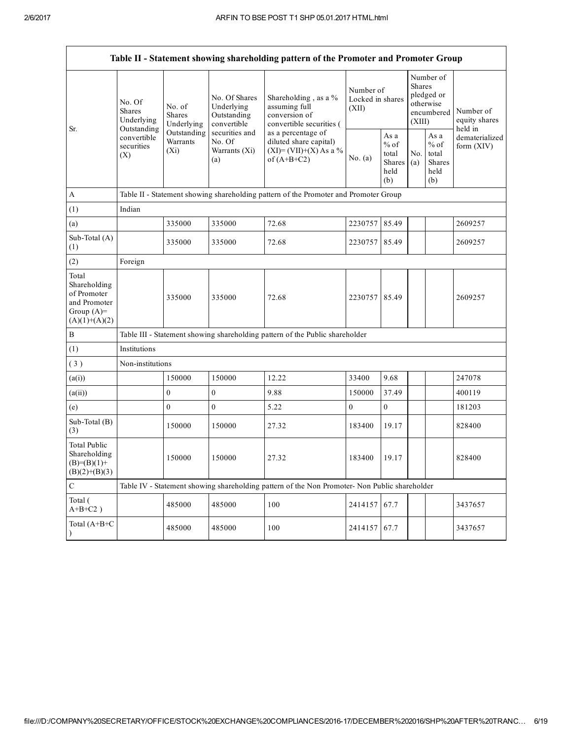|                                                                                         | Table II - Statement showing shareholding pattern of the Promoter and Promoter Group |                                                                                      |                                                           |                                                                                               |                                        |                                                  |                                                                               |                                                  |                                       |  |  |  |  |
|-----------------------------------------------------------------------------------------|--------------------------------------------------------------------------------------|--------------------------------------------------------------------------------------|-----------------------------------------------------------|-----------------------------------------------------------------------------------------------|----------------------------------------|--------------------------------------------------|-------------------------------------------------------------------------------|--------------------------------------------------|---------------------------------------|--|--|--|--|
| Sr.                                                                                     | No. Of<br><b>Shares</b><br>Underlying                                                | No. of<br><b>Shares</b><br>Underlying                                                | No. Of Shares<br>Underlying<br>Outstanding<br>convertible | Shareholding, as a %<br>assuming full<br>conversion of<br>convertible securities (            | Number of<br>Locked in shares<br>(XII) |                                                  | Number of<br><b>Shares</b><br>pledged or<br>otherwise<br>encumbered<br>(XIII) |                                                  | Number of<br>equity shares<br>held in |  |  |  |  |
|                                                                                         | Outstanding<br>convertible<br>securities<br>(X)                                      | Outstanding<br>Warrants<br>$(X_i)$                                                   | securities and<br>No. Of<br>Warrants (Xi)<br>(a)          | as a percentage of<br>diluted share capital)<br>$(XI)=(VII)+(X) As a %$<br>of $(A+B+C2)$      | No. $(a)$                              | As a<br>$%$ of<br>total<br>Shares<br>held<br>(b) | No.<br>(a)                                                                    | As a<br>$%$ of<br>total<br>Shares<br>held<br>(b) | dematerialized<br>form $(XIV)$        |  |  |  |  |
| $\mathbf{A}$                                                                            |                                                                                      | Table II - Statement showing shareholding pattern of the Promoter and Promoter Group |                                                           |                                                                                               |                                        |                                                  |                                                                               |                                                  |                                       |  |  |  |  |
| (1)                                                                                     | Indian                                                                               |                                                                                      |                                                           |                                                                                               |                                        |                                                  |                                                                               |                                                  |                                       |  |  |  |  |
| (a)                                                                                     |                                                                                      | 335000                                                                               | 335000                                                    | 72.68                                                                                         | 2230757                                | 85.49                                            |                                                                               |                                                  | 2609257                               |  |  |  |  |
| Sub-Total (A)<br>(1)                                                                    |                                                                                      | 335000                                                                               | 335000                                                    | 72.68                                                                                         | 2230757 85.49                          |                                                  |                                                                               |                                                  | 2609257                               |  |  |  |  |
| (2)                                                                                     | Foreign                                                                              |                                                                                      |                                                           |                                                                                               |                                        |                                                  |                                                                               |                                                  |                                       |  |  |  |  |
| Total<br>Shareholding<br>of Promoter<br>and Promoter<br>Group $(A)=$<br>$(A)(1)+(A)(2)$ |                                                                                      | 335000                                                                               | 335000                                                    | 72.68                                                                                         | 2230757 85.49                          |                                                  |                                                                               |                                                  | 2609257                               |  |  |  |  |
| $\, {\bf B}$                                                                            |                                                                                      |                                                                                      |                                                           | Table III - Statement showing shareholding pattern of the Public shareholder                  |                                        |                                                  |                                                                               |                                                  |                                       |  |  |  |  |
| (1)                                                                                     | Institutions                                                                         |                                                                                      |                                                           |                                                                                               |                                        |                                                  |                                                                               |                                                  |                                       |  |  |  |  |
| (3)                                                                                     | Non-institutions                                                                     |                                                                                      |                                                           |                                                                                               |                                        |                                                  |                                                                               |                                                  |                                       |  |  |  |  |
| (a(i))                                                                                  |                                                                                      | 150000                                                                               | 150000                                                    | 12.22                                                                                         | 33400                                  | 9.68                                             |                                                                               |                                                  | 247078                                |  |  |  |  |
| (a(ii))                                                                                 |                                                                                      | $\mathbf{0}$                                                                         | $\overline{0}$                                            | 9.88                                                                                          | 150000                                 | 37.49                                            |                                                                               |                                                  | 400119                                |  |  |  |  |
| (e)                                                                                     |                                                                                      | $\mathbf{0}$                                                                         | $\boldsymbol{0}$                                          | 5.22                                                                                          | $\boldsymbol{0}$                       | $\boldsymbol{0}$                                 |                                                                               |                                                  | 181203                                |  |  |  |  |
| Sub-Total $(B)$<br>(3)                                                                  |                                                                                      | 150000                                                                               | 150000                                                    | 27.32                                                                                         | 183400                                 | 19.17                                            |                                                                               |                                                  | 828400                                |  |  |  |  |
| <b>Total Public</b><br>Shareholding<br>$(B)=(B)(1)+$<br>$(B)(2)+(B)(3)$                 |                                                                                      | 150000                                                                               | 150000                                                    | 27.32                                                                                         | 183400                                 | 19.17                                            |                                                                               |                                                  | 828400                                |  |  |  |  |
| $\mathbf C$                                                                             |                                                                                      |                                                                                      |                                                           | Table IV - Statement showing shareholding pattern of the Non Promoter- Non Public shareholder |                                        |                                                  |                                                                               |                                                  |                                       |  |  |  |  |
| Total (<br>$A+B+C2$ )                                                                   |                                                                                      | 485000                                                                               | 485000                                                    | 100                                                                                           | 2414157                                | 67.7                                             |                                                                               |                                                  | 3437657                               |  |  |  |  |
| Total (A+B+C                                                                            |                                                                                      | 485000                                                                               | 485000                                                    | 100                                                                                           | 2414157 67.7                           |                                                  |                                                                               |                                                  | 3437657                               |  |  |  |  |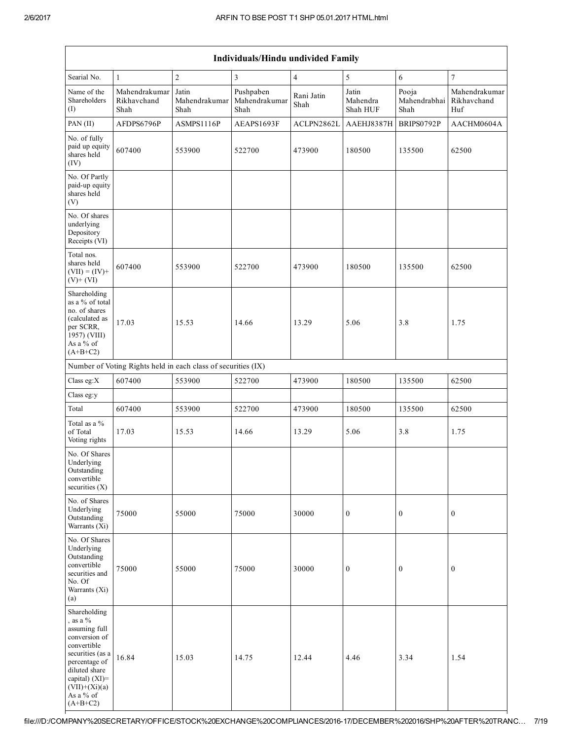|                                                                                                                                                                                                   | Individuals/Hindu undivided Family   |                                                               |                                    |                    |                               |                               |                                     |  |  |  |  |  |
|---------------------------------------------------------------------------------------------------------------------------------------------------------------------------------------------------|--------------------------------------|---------------------------------------------------------------|------------------------------------|--------------------|-------------------------------|-------------------------------|-------------------------------------|--|--|--|--|--|
| Searial No.                                                                                                                                                                                       | $\mathbf{1}$                         | $\overline{c}$                                                | 3                                  | $\overline{4}$     | $\sqrt{5}$                    | 6                             | $\tau$                              |  |  |  |  |  |
| Name of the<br>Shareholders<br>(I)                                                                                                                                                                | Mahendrakumar<br>Rikhavchand<br>Shah | Jatin<br>Mahendrakumar<br>Shah                                | Pushpaben<br>Mahendrakumar<br>Shah | Rani Jatin<br>Shah | Jatin<br>Mahendra<br>Shah HUF | Pooja<br>Mahendrabhai<br>Shah | Mahendrakumar<br>Rikhavchand<br>Huf |  |  |  |  |  |
| PAN (II)                                                                                                                                                                                          | AFDPS6796P                           | ASMPS1116P                                                    | AEAPS1693F                         | ACLPN2862L         | AAEHJ8387H                    | BRIPS0792P                    | AACHM0604A                          |  |  |  |  |  |
| No. of fully<br>paid up equity<br>shares held<br>(IV)                                                                                                                                             | 607400                               | 553900                                                        | 522700                             | 473900             | 180500                        | 135500                        | 62500                               |  |  |  |  |  |
| No. Of Partly<br>paid-up equity<br>shares held<br>(V)                                                                                                                                             |                                      |                                                               |                                    |                    |                               |                               |                                     |  |  |  |  |  |
| No. Of shares<br>underlying<br>Depository<br>Receipts (VI)                                                                                                                                        |                                      |                                                               |                                    |                    |                               |                               |                                     |  |  |  |  |  |
| Total nos.<br>shares held<br>$(VII) = (IV) +$<br>$(V)+(VI)$                                                                                                                                       | 607400                               | 553900                                                        | 522700                             | 473900             | 180500                        | 135500                        | 62500                               |  |  |  |  |  |
| Shareholding<br>as a % of total<br>no. of shares<br>(calculated as<br>per SCRR,<br>1957) (VIII)<br>As a % of<br>$(A+B+C2)$                                                                        | 17.03                                | 15.53                                                         | 14.66                              | 13.29              | 5.06                          | 3.8                           | 1.75                                |  |  |  |  |  |
|                                                                                                                                                                                                   |                                      | Number of Voting Rights held in each class of securities (IX) |                                    |                    |                               |                               |                                     |  |  |  |  |  |
| Class eg:X                                                                                                                                                                                        | 607400                               | 553900                                                        | 522700                             | 473900             | 180500                        | 135500                        | 62500                               |  |  |  |  |  |
| Class eg:y                                                                                                                                                                                        |                                      |                                                               |                                    |                    |                               |                               |                                     |  |  |  |  |  |
| Total                                                                                                                                                                                             | 607400                               | 553900                                                        | 522700                             | 473900             | 180500                        | 135500                        | 62500                               |  |  |  |  |  |
| Total as a %<br>of Total<br>Voting rights                                                                                                                                                         | 17.03                                | 15.53                                                         | 14.66                              | 13.29              | 5.06                          | 3.8                           | 1.75                                |  |  |  |  |  |
| No. Of Shares<br>Underlying<br>Outstanding<br>convertible<br>securities (X)                                                                                                                       |                                      |                                                               |                                    |                    |                               |                               |                                     |  |  |  |  |  |
| No. of Shares<br>Underlying<br>Outstanding<br>Warrants $(Xi)$                                                                                                                                     | 75000                                | 55000                                                         | 75000                              | 30000              | $\boldsymbol{0}$              | $\boldsymbol{0}$              | $\boldsymbol{0}$                    |  |  |  |  |  |
| No. Of Shares<br>Underlying<br>Outstanding<br>convertible<br>securities and<br>No. Of<br>Warrants (Xi)<br>(a)                                                                                     | 75000                                | 55000                                                         | 75000                              | 30000              | $\boldsymbol{0}$              | $\boldsymbol{0}$              | $\boldsymbol{0}$                    |  |  |  |  |  |
| Shareholding<br>, as a $%$<br>assuming full<br>conversion of<br>convertible<br>securities (as a<br>percentage of<br>diluted share<br>capital) (XI)=<br>$(VII)+(Xi)(a)$<br>As a % of<br>$(A+B+C2)$ | 16.84                                | 15.03                                                         | 14.75                              | 12.44              | 4.46                          | 3.34                          | 1.54                                |  |  |  |  |  |

# file:///D:/COMPANY%20SECRETARY/OFFICE/STOCK%20EXCHANGE%20COMPLIANCES/201617/DECEMBER%202016/SHP%20AFTER%20TRANC… 7/19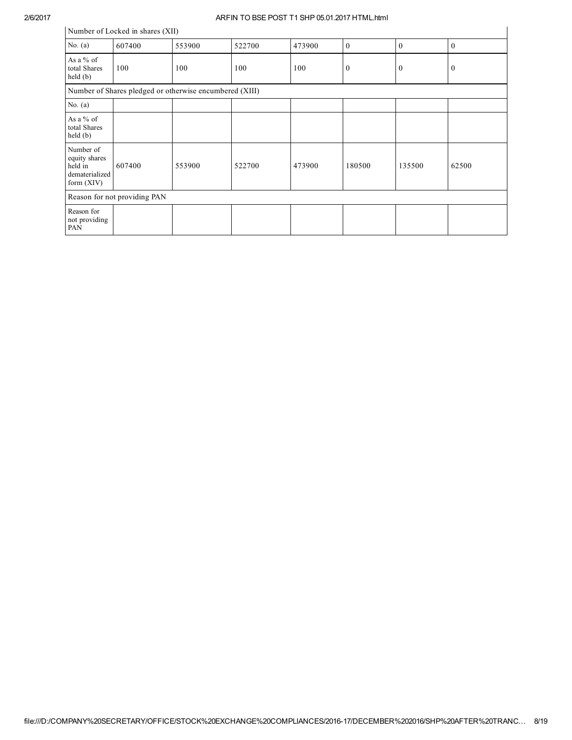| Number of Locked in shares (XII)                                        |                              |        |        |        |              |              |              |  |  |  |  |
|-------------------------------------------------------------------------|------------------------------|--------|--------|--------|--------------|--------------|--------------|--|--|--|--|
| No. $(a)$                                                               | 607400                       | 553900 | 522700 | 473900 | $\mathbf{0}$ | $\mathbf{0}$ | $\mathbf{0}$ |  |  |  |  |
| As a $%$ of<br>total Shares<br>held(b)                                  | 100                          | 100    | 100    | 100    | $\mathbf{0}$ | $\mathbf{0}$ | $\bf{0}$     |  |  |  |  |
| Number of Shares pledged or otherwise encumbered (XIII)                 |                              |        |        |        |              |              |              |  |  |  |  |
| No. $(a)$                                                               |                              |        |        |        |              |              |              |  |  |  |  |
| As a % of<br>total Shares<br>held(b)                                    |                              |        |        |        |              |              |              |  |  |  |  |
| Number of<br>equity shares<br>held in<br>dematerialized<br>form $(XIV)$ | 607400                       | 553900 | 522700 | 473900 | 180500       | 135500       | 62500        |  |  |  |  |
|                                                                         | Reason for not providing PAN |        |        |        |              |              |              |  |  |  |  |
| Reason for<br>not providing<br>PAN                                      |                              |        |        |        |              |              |              |  |  |  |  |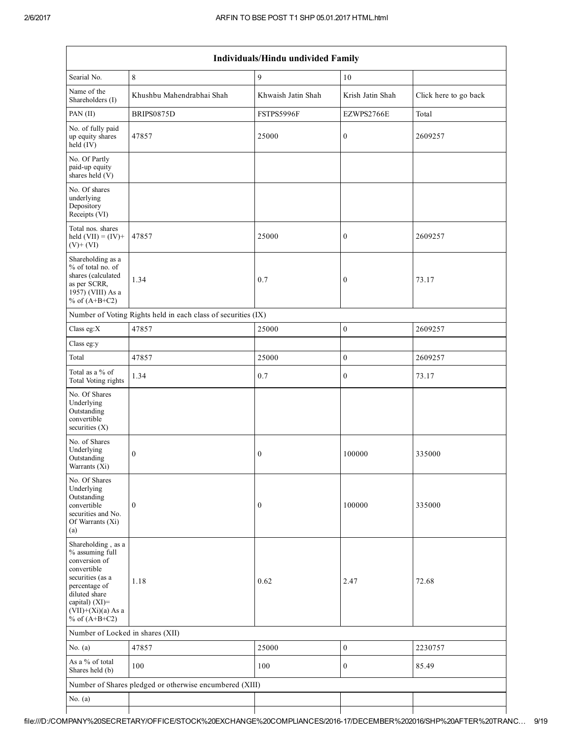| Individuals/Hindu undivided Family                                                                                                                                                       |                                                               |                    |                  |                       |  |  |  |  |  |  |
|------------------------------------------------------------------------------------------------------------------------------------------------------------------------------------------|---------------------------------------------------------------|--------------------|------------------|-----------------------|--|--|--|--|--|--|
| Searial No.                                                                                                                                                                              | $\,8\,$                                                       | 9                  | 10               |                       |  |  |  |  |  |  |
| Name of the<br>Shareholders (I)                                                                                                                                                          | Khushbu Mahendrabhai Shah                                     | Khwaish Jatin Shah | Krish Jatin Shah | Click here to go back |  |  |  |  |  |  |
| PAN $(II)$                                                                                                                                                                               | BRIPS0875D                                                    | FSTPS5996F         | EZWPS2766E       | Total                 |  |  |  |  |  |  |
| No. of fully paid<br>up equity shares<br>held (IV)                                                                                                                                       | 47857                                                         | 25000              | $\boldsymbol{0}$ | 2609257               |  |  |  |  |  |  |
| No. Of Partly<br>paid-up equity<br>shares held (V)                                                                                                                                       |                                                               |                    |                  |                       |  |  |  |  |  |  |
| No. Of shares<br>underlying<br>Depository<br>Receipts (VI)                                                                                                                               |                                                               |                    |                  |                       |  |  |  |  |  |  |
| Total nos. shares<br>held $(VII) = (IV) +$<br>$(V)+(VI)$                                                                                                                                 | 47857                                                         | 25000              | $\boldsymbol{0}$ | 2609257               |  |  |  |  |  |  |
| Shareholding as a<br>% of total no. of<br>shares (calculated<br>as per SCRR,<br>1957) (VIII) As a<br>% of $(A+B+C2)$                                                                     | 1.34                                                          | 0.7                | $\bf{0}$         | 73.17                 |  |  |  |  |  |  |
|                                                                                                                                                                                          | Number of Voting Rights held in each class of securities (IX) |                    |                  |                       |  |  |  |  |  |  |
| Class eg:X                                                                                                                                                                               | 47857                                                         | 25000              | $\boldsymbol{0}$ | 2609257               |  |  |  |  |  |  |
| Class eg:y                                                                                                                                                                               |                                                               |                    |                  |                       |  |  |  |  |  |  |
| Total                                                                                                                                                                                    | 47857                                                         | 25000              | $\mathbf{0}$     | 2609257               |  |  |  |  |  |  |
| Total as a % of<br>Total Voting rights                                                                                                                                                   | 1.34                                                          | 0.7                | $\boldsymbol{0}$ | 73.17                 |  |  |  |  |  |  |
| No. Of Shares<br>Underlying<br>Outstanding<br>convertible<br>securities (X)                                                                                                              |                                                               |                    |                  |                       |  |  |  |  |  |  |
| No. of Shares<br>Underlying<br>Outstanding<br>Warrants $(Xi)$                                                                                                                            | $\bf{0}$                                                      | $\boldsymbol{0}$   | 100000           | 335000                |  |  |  |  |  |  |
| No. Of Shares<br>Underlying<br>Outstanding<br>convertible<br>securities and No.<br>Of Warrants (Xi)<br>(a)                                                                               | $\boldsymbol{0}$                                              | $\boldsymbol{0}$   | 100000           | 335000                |  |  |  |  |  |  |
| Shareholding, as a<br>% assuming full<br>conversion of<br>convertible<br>securities (as a<br>percentage of<br>diluted share<br>capital) (XI)=<br>$(VII)+(Xi)(a)$ As a<br>% of $(A+B+C2)$ | 1.18                                                          | 0.62               | 2.47             | 72.68                 |  |  |  |  |  |  |
| Number of Locked in shares (XII)                                                                                                                                                         |                                                               |                    |                  |                       |  |  |  |  |  |  |
| No. $(a)$                                                                                                                                                                                | 47857                                                         | 25000              | $\boldsymbol{0}$ | 2230757               |  |  |  |  |  |  |
| As a % of total<br>Shares held (b)                                                                                                                                                       | 100                                                           | 100                | $\bf{0}$         | 85.49                 |  |  |  |  |  |  |
|                                                                                                                                                                                          | Number of Shares pledged or otherwise encumbered (XIII)       |                    |                  |                       |  |  |  |  |  |  |
| No. $(a)$                                                                                                                                                                                |                                                               |                    |                  |                       |  |  |  |  |  |  |
|                                                                                                                                                                                          |                                                               |                    |                  |                       |  |  |  |  |  |  |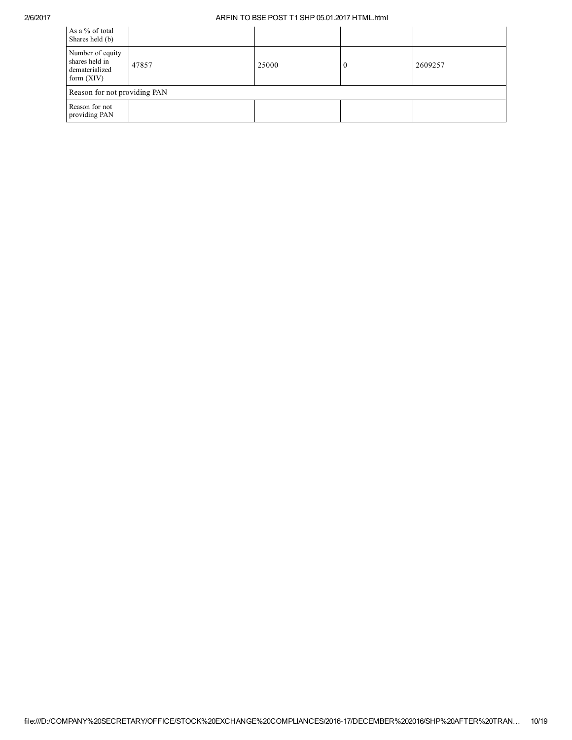| As a % of total<br>Shares held (b)                                   |       |       |         |
|----------------------------------------------------------------------|-------|-------|---------|
| Number of equity<br>shares held in<br>dematerialized<br>form $(XIV)$ | 47857 | 25000 | 2609257 |
| Reason for not providing PAN                                         |       |       |         |
| Reason for not<br>providing PAN                                      |       |       |         |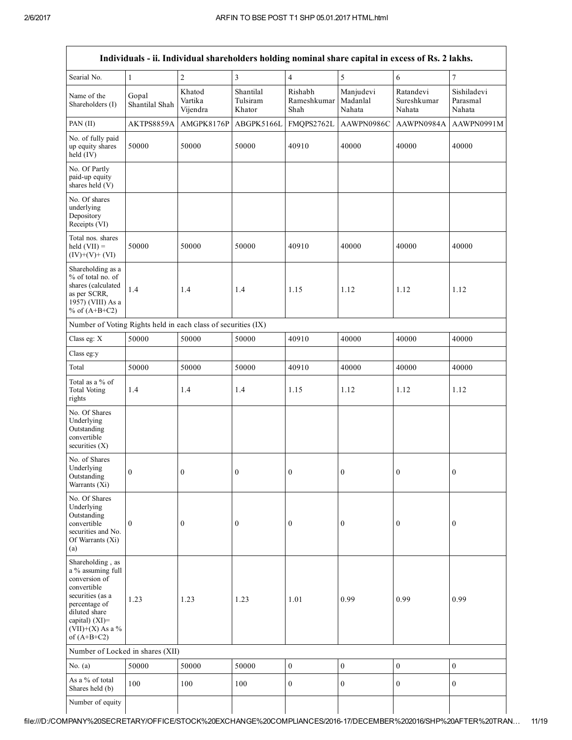|                                                                                                                                                                                      |                         |                               |                                 |                                |                                 | Individuals - ii. Individual shareholders holding nominal share capital in excess of Rs. 2 lakhs. |                                   |
|--------------------------------------------------------------------------------------------------------------------------------------------------------------------------------------|-------------------------|-------------------------------|---------------------------------|--------------------------------|---------------------------------|---------------------------------------------------------------------------------------------------|-----------------------------------|
| Searial No.                                                                                                                                                                          | $\mathbf{1}$            | $\overline{2}$                | $\overline{3}$                  | $\overline{4}$                 | 5                               | $\sqrt{6}$                                                                                        | $\overline{7}$                    |
| Name of the<br>Shareholders (I)                                                                                                                                                      | Gopal<br>Shantilal Shah | Khatod<br>Vartika<br>Vijendra | Shantilal<br>Tulsiram<br>Khator | Rishabh<br>Rameshkumar<br>Shah | Manjudevi<br>Madanlal<br>Nahata | Ratandevi<br>Sureshkumar<br>Nahata                                                                | Sishiladevi<br>Parasmal<br>Nahata |
| PAN (II)                                                                                                                                                                             | AKTPS8859A              | AMGPK8176P                    | ABGPK5166L                      | FMQPS2762L                     | AAWPN0986C                      | AAWPN0984A                                                                                        | AAWPN0991M                        |
| No. of fully paid<br>up equity shares<br>held $(IV)$                                                                                                                                 | 50000                   | 50000                         | 50000                           | 40910                          | 40000                           | 40000                                                                                             | 40000                             |
| No. Of Partly<br>paid-up equity<br>shares held (V)                                                                                                                                   |                         |                               |                                 |                                |                                 |                                                                                                   |                                   |
| No. Of shares<br>underlying<br>Depository<br>Receipts (VI)                                                                                                                           |                         |                               |                                 |                                |                                 |                                                                                                   |                                   |
| Total nos. shares<br>$held (VII) =$<br>$(IV)+(V)+(VI)$                                                                                                                               | 50000                   | 50000                         | 50000                           | 40910                          | 40000                           | 40000                                                                                             | 40000                             |
| Shareholding as a<br>% of total no. of<br>shares (calculated<br>as per SCRR,<br>1957) (VIII) As a<br>% of $(A+B+C2)$                                                                 | 1.4                     | 1.4                           | 1.4                             | 1.15                           | 1.12                            | 1.12                                                                                              | 1.12                              |
| Number of Voting Rights held in each class of securities (IX)                                                                                                                        |                         |                               |                                 |                                |                                 |                                                                                                   |                                   |
| Class eg: X                                                                                                                                                                          | 50000                   | 50000                         | 50000                           | 40910                          | 40000                           | 40000                                                                                             | 40000                             |
| Class eg:y                                                                                                                                                                           |                         |                               |                                 |                                |                                 |                                                                                                   |                                   |
| Total                                                                                                                                                                                | 50000                   | 50000                         | 50000                           | 40910                          | 40000                           | 40000                                                                                             | 40000                             |
| Total as a % of<br><b>Total Voting</b><br>rights                                                                                                                                     | 1.4                     | 1.4                           | 1.4                             | 1.15                           | 1.12                            | 1.12                                                                                              | 1.12                              |
| No. Of Shares<br>Underlying<br>Outstanding<br>convertible<br>securities $(X)$                                                                                                        |                         |                               |                                 |                                |                                 |                                                                                                   |                                   |
| No. of Shares<br>Underlying<br>Outstanding<br>Warrants (Xi)                                                                                                                          | $\boldsymbol{0}$        | $\boldsymbol{0}$              | 0                               | $\boldsymbol{0}$               | $\boldsymbol{0}$                | $\boldsymbol{0}$                                                                                  | $\boldsymbol{0}$                  |
| No. Of Shares<br>Underlying<br>Outstanding<br>convertible<br>securities and No.<br>Of Warrants (Xi)<br>(a)                                                                           | $\mathbf{0}$            | $\boldsymbol{0}$              | $\boldsymbol{0}$                | $\boldsymbol{0}$               | $\mathbf{0}$                    | $\bf{0}$                                                                                          | $\boldsymbol{0}$                  |
| Shareholding, as<br>a % assuming full<br>conversion of<br>convertible<br>securities (as a<br>percentage of<br>diluted share<br>capital) (XI)=<br>$(VII)+(X)$ As a %<br>of $(A+B+C2)$ | 1.23                    | 1.23                          | 1.23                            | 1.01                           | 0.99                            | 0.99                                                                                              | 0.99                              |
| Number of Locked in shares (XII)                                                                                                                                                     |                         |                               |                                 |                                |                                 |                                                                                                   |                                   |
| No. $(a)$                                                                                                                                                                            | 50000                   | 50000                         | 50000                           | $\boldsymbol{0}$               | $\boldsymbol{0}$                | $\boldsymbol{0}$                                                                                  | $\boldsymbol{0}$                  |
| As a % of total<br>Shares held (b)                                                                                                                                                   | 100                     | 100                           | 100                             | $\mathbf{0}$                   | $\mathbf{0}$                    | $\mathbf{0}$                                                                                      | $\overline{0}$                    |
| Number of equity                                                                                                                                                                     |                         |                               |                                 |                                |                                 |                                                                                                   |                                   |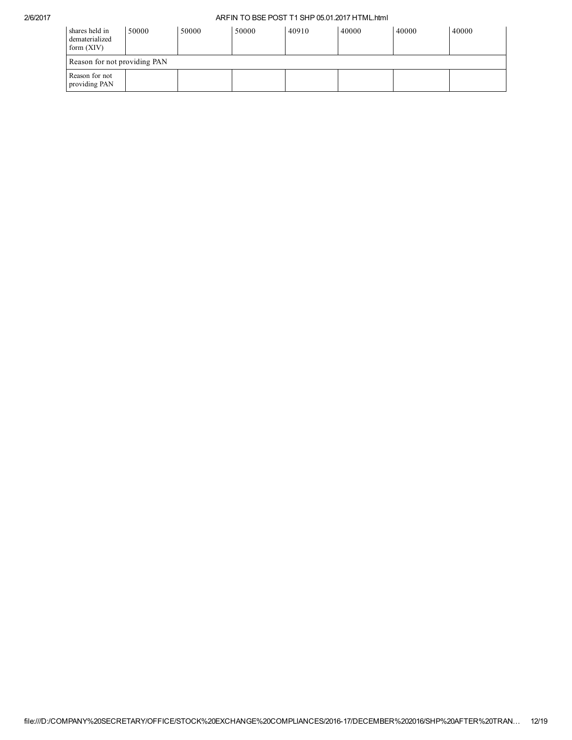| shares held in<br>dematerialized<br>form $(XIV)$ | 50000 | 50000 | 50000 | 40910 | 40000 | 40000 | 40000 |  |  |  |  |
|--------------------------------------------------|-------|-------|-------|-------|-------|-------|-------|--|--|--|--|
| Reason for not providing PAN                     |       |       |       |       |       |       |       |  |  |  |  |
| Reason for not<br>providing PAN                  |       |       |       |       |       |       |       |  |  |  |  |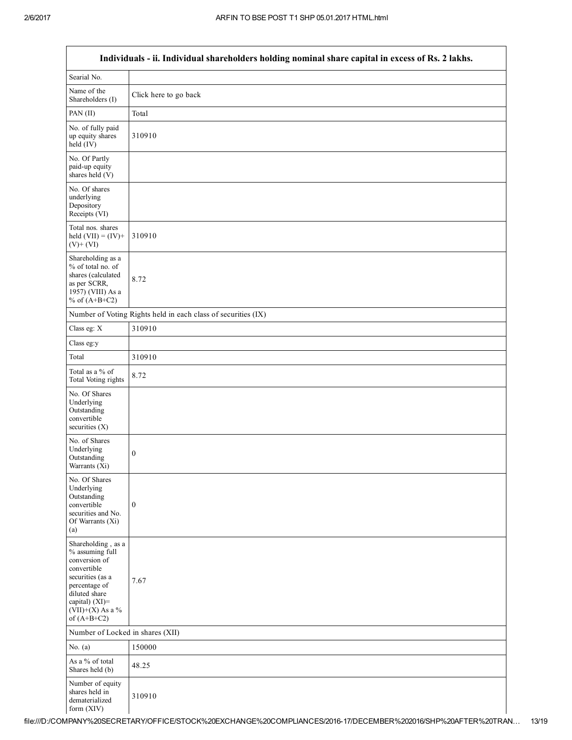Г

┑

| Individuals - ii. Individual shareholders holding nominal share capital in excess of Rs. 2 lakhs.                                                                                    |                                                               |  |  |  |
|--------------------------------------------------------------------------------------------------------------------------------------------------------------------------------------|---------------------------------------------------------------|--|--|--|
| Searial No.                                                                                                                                                                          |                                                               |  |  |  |
| Name of the<br>Shareholders (I)                                                                                                                                                      | Click here to go back                                         |  |  |  |
| PAN (II)                                                                                                                                                                             | Total                                                         |  |  |  |
| No. of fully paid<br>up equity shares<br>held (IV)                                                                                                                                   | 310910                                                        |  |  |  |
| No. Of Partly<br>paid-up equity<br>shares held (V)                                                                                                                                   |                                                               |  |  |  |
| No. Of shares<br>underlying<br>Depository<br>Receipts (VI)                                                                                                                           |                                                               |  |  |  |
| Total nos. shares<br>held $(VII) = (IV) +$<br>$(V)$ + $(VI)$                                                                                                                         | 310910                                                        |  |  |  |
| Shareholding as a<br>% of total no. of<br>shares (calculated<br>as per SCRR,<br>1957) (VIII) As a<br>% of $(A+B+C2)$                                                                 | 8.72                                                          |  |  |  |
|                                                                                                                                                                                      | Number of Voting Rights held in each class of securities (IX) |  |  |  |
| Class eg: X                                                                                                                                                                          | 310910                                                        |  |  |  |
| Class eg:y                                                                                                                                                                           |                                                               |  |  |  |
| Total                                                                                                                                                                                | 310910                                                        |  |  |  |
| Total as a % of<br>Total Voting rights                                                                                                                                               | 8.72                                                          |  |  |  |
| No. Of Shares<br>Underlying<br>Outstanding<br>convertible<br>securities $(X)$                                                                                                        |                                                               |  |  |  |
| No. of Shares<br>Underlying<br>Outstanding<br>Warrants (Xi)                                                                                                                          | $\boldsymbol{0}$                                              |  |  |  |
| No. Of Shares<br>Underlying<br>Outstanding<br>convertible<br>securities and No.<br>Of Warrants (Xi)<br>(a)                                                                           | $\boldsymbol{0}$                                              |  |  |  |
| Shareholding, as a<br>% assuming full<br>conversion of<br>convertible<br>securities (as a<br>percentage of<br>diluted share<br>capital) (XI)=<br>$(VII)+(X)$ As a %<br>of $(A+B+C2)$ | 7.67                                                          |  |  |  |
| Number of Locked in shares (XII)                                                                                                                                                     |                                                               |  |  |  |
| No. $(a)$                                                                                                                                                                            | 150000                                                        |  |  |  |
| As a % of total<br>Shares held (b)                                                                                                                                                   | 48.25                                                         |  |  |  |
| Number of equity<br>shares held in<br>dematerialized<br>form (XIV)                                                                                                                   | 310910                                                        |  |  |  |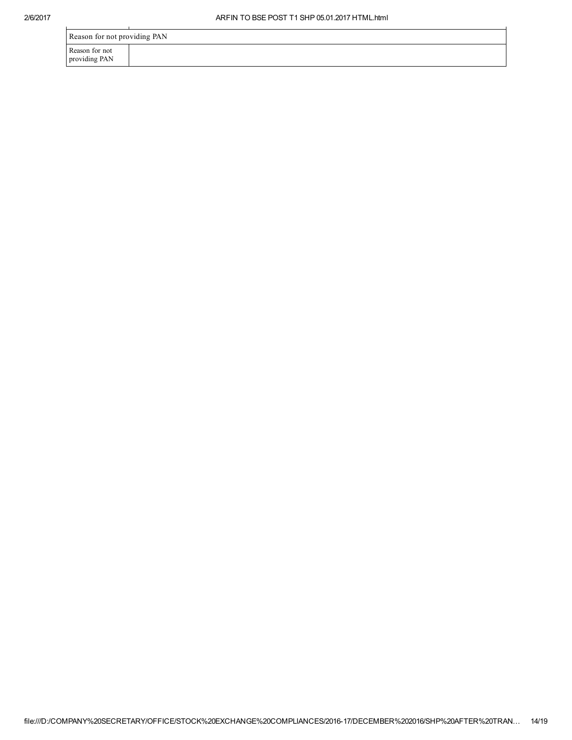| Reason for not providing PAN    |  |  |  |
|---------------------------------|--|--|--|
| Reason for not<br>providing PAN |  |  |  |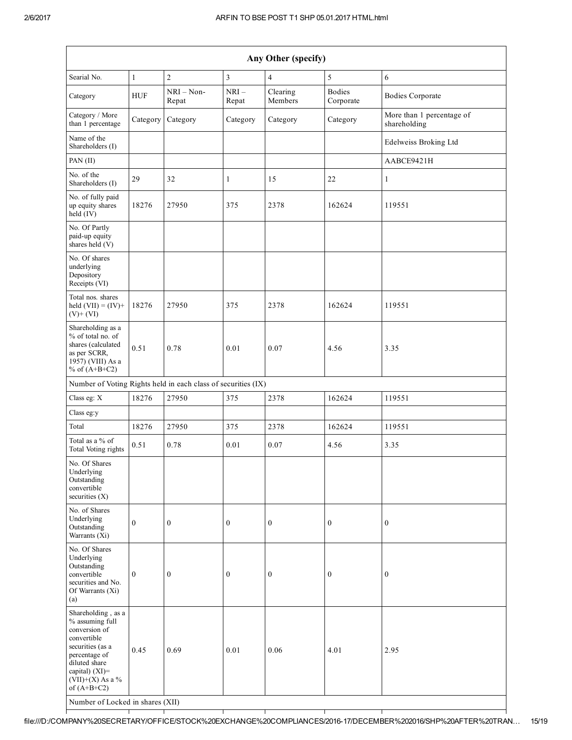|                                                                                                                                                                                      | Any Other (specify) |                       |                  |                     |                            |                                           |
|--------------------------------------------------------------------------------------------------------------------------------------------------------------------------------------|---------------------|-----------------------|------------------|---------------------|----------------------------|-------------------------------------------|
| Searial No.                                                                                                                                                                          | $\mathbf{1}$        | $\overline{c}$        | $\overline{3}$   | $\overline{4}$      | 5                          | 6                                         |
| Category                                                                                                                                                                             | <b>HUF</b>          | $NRI - Non-$<br>Repat | $NRI-$<br>Repat  | Clearing<br>Members | <b>Bodies</b><br>Corporate | <b>Bodies Corporate</b>                   |
| Category / More<br>than 1 percentage                                                                                                                                                 | Category            | Category              | Category         | Category            | Category                   | More than 1 percentage of<br>shareholding |
| Name of the<br>Shareholders (I)                                                                                                                                                      |                     |                       |                  |                     |                            | Edelweiss Broking Ltd                     |
| PAN (II)                                                                                                                                                                             |                     |                       |                  |                     |                            | AABCE9421H                                |
| No. of the<br>Shareholders (I)                                                                                                                                                       | 29                  | 32                    | 1                | 15                  | 22                         | $\mathbf{1}$                              |
| No. of fully paid<br>up equity shares<br>held (IV)                                                                                                                                   | 18276               | 27950                 | 375              | 2378                | 162624                     | 119551                                    |
| No. Of Partly<br>paid-up equity<br>shares held (V)                                                                                                                                   |                     |                       |                  |                     |                            |                                           |
| No. Of shares<br>underlying<br>Depository<br>Receipts (VI)                                                                                                                           |                     |                       |                  |                     |                            |                                           |
| Total nos. shares<br>held $(VII) = (IV) +$<br>$(V)$ + $(VI)$                                                                                                                         | 18276               | 27950                 | 375              | 2378                | 162624                     | 119551                                    |
| Shareholding as a<br>% of total no. of<br>shares (calculated<br>as per SCRR,<br>1957) (VIII) As a<br>% of $(A+B+C2)$                                                                 | 0.51                | 0.78                  | 0.01             | 0.07                | 4.56                       | 3.35                                      |
| Number of Voting Rights held in each class of securities (IX)                                                                                                                        |                     |                       |                  |                     |                            |                                           |
| Class eg: X                                                                                                                                                                          | 18276               | 27950                 | 375              | 2378                | 162624                     | 119551                                    |
| Class eg:y                                                                                                                                                                           |                     |                       |                  |                     |                            |                                           |
| Total                                                                                                                                                                                | 18276               | 27950                 | 375              | 2378                | 162624                     | 119551                                    |
| Total as a % of<br>Total Voting rights                                                                                                                                               | 0.51                | 0.78                  | 0.01             | 0.07                | 4.56                       | 3.35                                      |
| No. Of Shares<br>Underlying<br>Outstanding<br>convertible<br>securities $(X)$                                                                                                        |                     |                       |                  |                     |                            |                                           |
| No. of Shares<br>Underlying<br>Outstanding<br>Warrants (Xi)                                                                                                                          | $\boldsymbol{0}$    | $\boldsymbol{0}$      | $\boldsymbol{0}$ | $\boldsymbol{0}$    | $\boldsymbol{0}$           | $\boldsymbol{0}$                          |
| No. Of Shares<br>Underlying<br>Outstanding<br>convertible<br>securities and No.<br>Of Warrants (Xi)<br>(a)                                                                           | $\mathbf{0}$        | $\mathbf{0}$          | $\mathbf{0}$     | $\boldsymbol{0}$    | $\boldsymbol{0}$           | $\mathbf{0}$                              |
| Shareholding, as a<br>% assuming full<br>conversion of<br>convertible<br>securities (as a<br>percentage of<br>diluted share<br>capital) (XI)=<br>$(VII)+(X)$ As a %<br>of $(A+B+C2)$ | 0.45                | 0.69                  | 0.01             | 0.06                | 4.01                       | 2.95                                      |

Number of Locked in shares (XII)

┯

 $\top$ 

 $\top$ 

 $\top$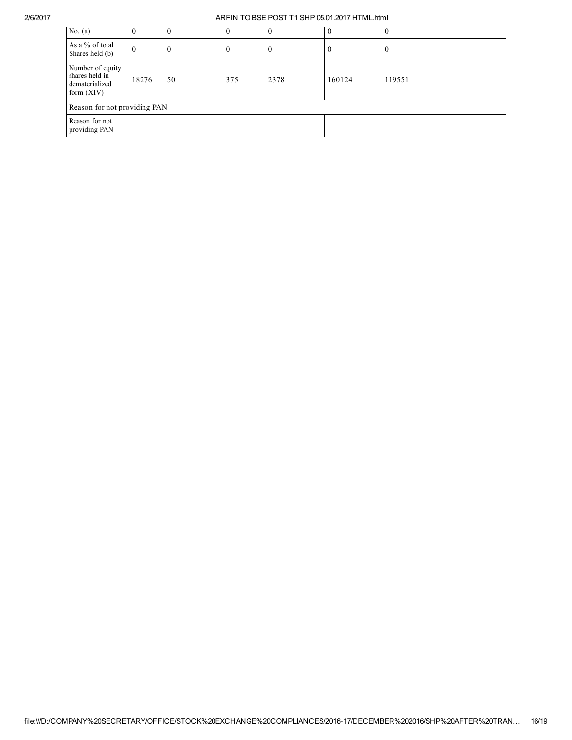| No. $(a)$                                                            | $\Omega$ | $\theta$ | $\theta$ | $\overline{0}$ | $\boldsymbol{0}$ | $\theta$ |
|----------------------------------------------------------------------|----------|----------|----------|----------------|------------------|----------|
| As a % of total<br>Shares held (b)                                   | U        |          |          | U              | $\boldsymbol{0}$ | U        |
| Number of equity<br>shares held in<br>dematerialized<br>form $(XIV)$ | 18276    | 50       | 375      | 2378           | 160124           | 119551   |
| Reason for not providing PAN                                         |          |          |          |                |                  |          |
| Reason for not<br>providing PAN                                      |          |          |          |                |                  |          |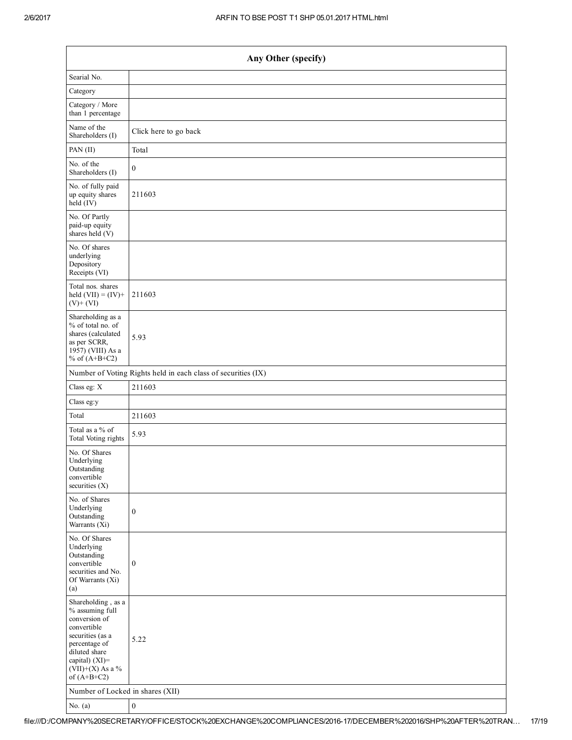| Any Other (specify)                                                                                                                                                                  |                                                               |  |  |  |
|--------------------------------------------------------------------------------------------------------------------------------------------------------------------------------------|---------------------------------------------------------------|--|--|--|
| Searial No.                                                                                                                                                                          |                                                               |  |  |  |
| Category                                                                                                                                                                             |                                                               |  |  |  |
| Category / More<br>than 1 percentage                                                                                                                                                 |                                                               |  |  |  |
| Name of the<br>Shareholders (I)                                                                                                                                                      | Click here to go back                                         |  |  |  |
| PAN (II)                                                                                                                                                                             | Total                                                         |  |  |  |
| No. of the<br>Shareholders (I)                                                                                                                                                       | $\boldsymbol{0}$                                              |  |  |  |
| No. of fully paid<br>up equity shares<br>$\text{held}(\text{IV})$                                                                                                                    | 211603                                                        |  |  |  |
| No. Of Partly<br>paid-up equity<br>shares held (V)                                                                                                                                   |                                                               |  |  |  |
| No. Of shares<br>underlying<br>Depository<br>Receipts (VI)                                                                                                                           |                                                               |  |  |  |
| Total nos. shares<br>held $(VII) = (IV) +$<br>$(V)+(VI)$                                                                                                                             | 211603                                                        |  |  |  |
| Shareholding as a<br>% of total no. of<br>shares (calculated<br>as per SCRR,<br>1957) (VIII) As a<br>% of $(A+B+C2)$                                                                 | 5.93                                                          |  |  |  |
|                                                                                                                                                                                      | Number of Voting Rights held in each class of securities (IX) |  |  |  |
| Class eg: X                                                                                                                                                                          | 211603                                                        |  |  |  |
| Class eg:y                                                                                                                                                                           |                                                               |  |  |  |
| Total                                                                                                                                                                                | 211603                                                        |  |  |  |
| Total as a % of<br>Total Voting rights                                                                                                                                               | 5.93                                                          |  |  |  |
| No. Of Shares<br>Underlying<br>Outstanding<br>convertible<br>securities $(X)$                                                                                                        |                                                               |  |  |  |
| No. of Shares<br>Underlying<br>Outstanding<br>Warrants $(X_i)$                                                                                                                       | $\boldsymbol{0}$                                              |  |  |  |
| No. Of Shares<br>Underlying<br>Outstanding<br>convertible<br>securities and No.<br>Of Warrants (Xi)<br>(a)                                                                           | $\boldsymbol{0}$                                              |  |  |  |
| Shareholding, as a<br>% assuming full<br>conversion of<br>convertible<br>securities (as a<br>percentage of<br>diluted share<br>capital) (XI)=<br>$(VII)+(X)$ As a %<br>of $(A+B+C2)$ | 5.22                                                          |  |  |  |
| Number of Locked in shares (XII)                                                                                                                                                     |                                                               |  |  |  |
| No. $(a)$                                                                                                                                                                            | $\boldsymbol{0}$                                              |  |  |  |